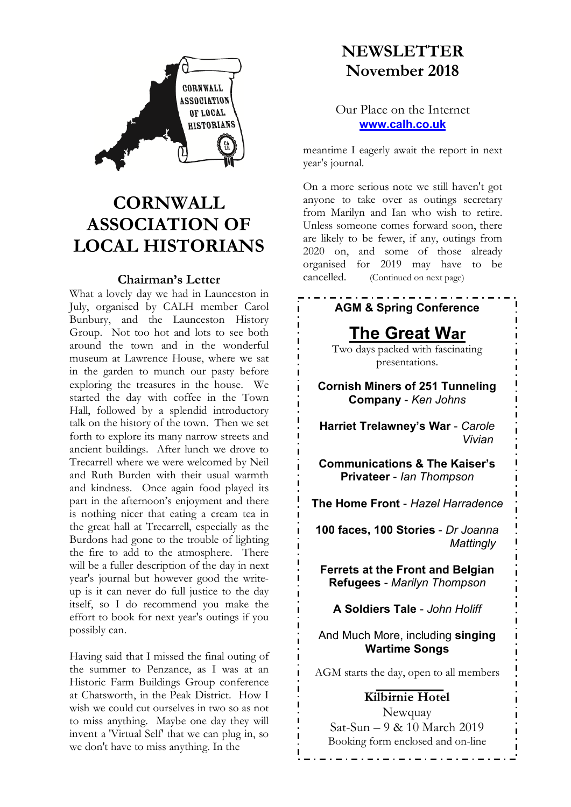

# **CORNWALL ASSOCIATION OF LOCAL HISTORIANS**

#### **Chairman's Letter**

What a lovely day we had in Launceston in July, organised by CALH member Carol Bunbury, and the Launceston History Group. Not too hot and lots to see both around the town and in the wonderful museum at Lawrence House, where we sat in the garden to munch our pasty before exploring the treasures in the house. We started the day with coffee in the Town Hall, followed by a splendid introductory talk on the history of the town. Then we set forth to explore its many narrow streets and ancient buildings. After lunch we drove to Trecarrell where we were welcomed by Neil and Ruth Burden with their usual warmth and kindness. Once again food played its part in the afternoon's enjoyment and there is nothing nicer that eating a cream tea in the great hall at Trecarrell, especially as the Burdons had gone to the trouble of lighting the fire to add to the atmosphere. There will be a fuller description of the day in next year's journal but however good the writeup is it can never do full justice to the day itself, so I do recommend you make the effort to book for next year's outings if you possibly can.

Having said that I missed the final outing of the summer to Penzance, as I was at an Historic Farm Buildings Group conference at Chatsworth, in the Peak District. How I wish we could cut ourselves in two so as not to miss anything. Maybe one day they will invent a 'Virtual Self' that we can plug in, so we don't have to miss anything. In the

## **NEWSLETTER November 2018**

#### Our Place on the Internet **www.calh.co.uk**

meantime I eagerly await the report in next year's journal.

On a more serious note we still haven't got anyone to take over as outings secretary from Marilyn and Ian who wish to retire. Unless someone comes forward soon, there are likely to be fewer, if any, outings from 2020 on, and some of those already organised for 2019 may have to be cancelled. (Continued on next page)

## **AGM & Spring Conference**

## **The Great War**

Two days packed with fascinating presentations.

**Cornish Miners of 251 Tunneling Company** - *Ken Johns*

**Harriet Trelawney's War** - *Carole Vivian*

**Communications & The Kaiser's Privateer** - *Ian Thompson*

**The Home Front** - *Hazel Harradence*

**100 faces, 100 Stories** - *Dr Joanna Mattingly*

**Ferrets at the Front and Belgian Refugees** - *Marilyn Thompson*

**A Soldiers Tale** - *John Holiff*

And Much More, including **singing Wartime Songs**

AGM starts the day, open to all members

#### **Kilbirnie Hotel**

Newquay Sat-Sun – 9 & 10 March 2019 Booking form enclosed and on-line

<u>\_ . \_ . \_ . \_ . \_</u>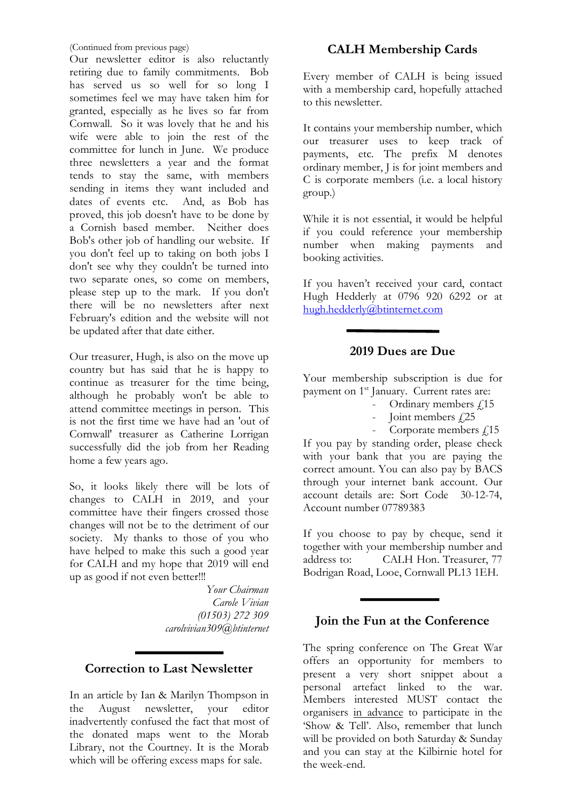(Continued from previous page)

Our newsletter editor is also reluctantly retiring due to family commitments. Bob has served us so well for so long I sometimes feel we may have taken him for granted, especially as he lives so far from Cornwall. So it was lovely that he and his wife were able to join the rest of the committee for lunch in June. We produce three newsletters a year and the format tends to stay the same, with members sending in items they want included and dates of events etc. And, as Bob has proved, this job doesn't have to be done by a Cornish based member. Neither does Bob's other job of handling our website. If you don't feel up to taking on both jobs I don't see why they couldn't be turned into two separate ones, so come on members, please step up to the mark. If you don't there will be no newsletters after next February's edition and the website will not be updated after that date either.

Our treasurer, Hugh, is also on the move up country but has said that he is happy to continue as treasurer for the time being, although he probably won't be able to attend committee meetings in person. This is not the first time we have had an 'out of Cornwall' treasurer as Catherine Lorrigan successfully did the job from her Reading home a few years ago.

So, it looks likely there will be lots of changes to CALH in 2019, and your committee have their fingers crossed those changes will not be to the detriment of our society. My thanks to those of you who have helped to make this such a good year for CALH and my hope that 2019 will end up as good if not even better!!!

> *Your Chairman Carole Vivian (01503) 272 309 carolvivian309@btinternet*

## **Correction to Last Newsletter**

In an article by Ian & Marilyn Thompson in the August newsletter, your editor inadvertently confused the fact that most of the donated maps went to the Morab Library, not the Courtney. It is the Morab which will be offering excess maps for sale.

## **CALH Membership Cards**

Every member of CALH is being issued with a membership card, hopefully attached to this newsletter.

It contains your membership number, which our treasurer uses to keep track of payments, etc. The prefix M denotes ordinary member, J is for joint members and C is corporate members (i.e. a local history group.)

While it is not essential, it would be helpful if you could reference your membership number when making payments and booking activities.

If you haven't received your card, contact Hugh Hedderly at 0796 920 6292 or at hugh.hedderly@btinternet.com

## **2019 Dues are Due**

Your membership subscription is due for payment on 1<sup>st</sup> January. Current rates are:

- Ordinary members  $\sqrt{15}$
- Ioint members  $\angle 25$
- Corporate members  $f$ <sub>15</sub>

If you pay by standing order, please check with your bank that you are paying the correct amount. You can also pay by BACS through your internet bank account. Our account details are: Sort Code 30-12-74, Account number 07789383

If you choose to pay by cheque, send it together with your membership number and address to: CALH Hon. Treasurer, 77 Bodrigan Road, Looe, Cornwall PL13 1EH.

#### **Join the Fun at the Conference**

The spring conference on The Great War offers an opportunity for members to present a very short snippet about a personal artefact linked to the war. Members interested MUST contact the organisers in advance to participate in the 'Show & Tell'. Also, remember that lunch will be provided on both Saturday & Sunday and you can stay at the Kilbirnie hotel for the week-end.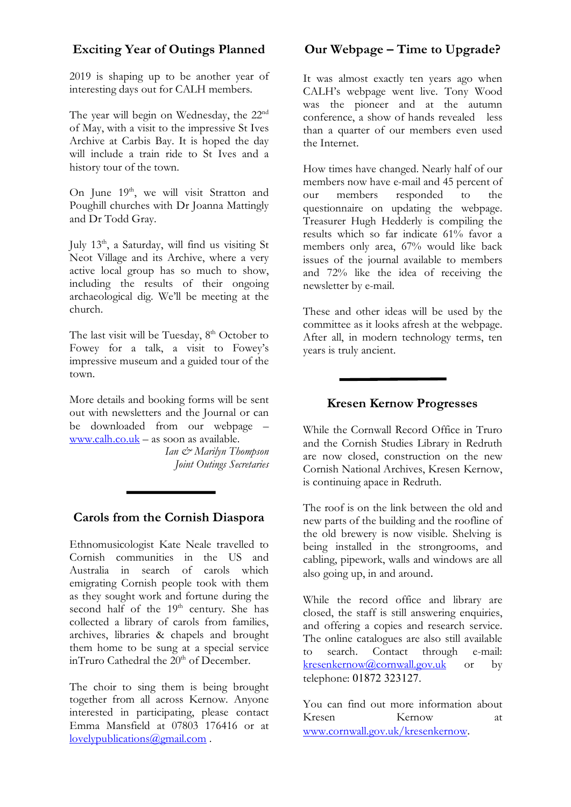## **Exciting Year of Outings Planned**

2019 is shaping up to be another year of interesting days out for CALH members.

The year will begin on Wednesday, the 22<sup>nd</sup> of May, with a visit to the impressive St Ives Archive at Carbis Bay. It is hoped the day will include a train ride to St Ives and a history tour of the town.

On June 19<sup>th</sup>, we will visit Stratton and Poughill churches with Dr Joanna Mattingly and Dr Todd Gray.

July 13<sup>th</sup>, a Saturday, will find us visiting St Neot Village and its Archive, where a very active local group has so much to show, including the results of their ongoing archaeological dig. We'll be meeting at the church.

The last visit will be Tuesday, 8<sup>th</sup> October to Fowey for a talk, a visit to Fowey's impressive museum and a guided tour of the town.

More details and booking forms will be sent out with newsletters and the Journal or can be downloaded from our webpage – www.calh.co.uk – as soon as available.

> *Ian & Marilyn Thompson Joint Outings Secretaries*

## **Carols from the Cornish Diaspora**

Ethnomusicologist Kate Neale travelled to Cornish communities in the US and Australia in search of carols which emigrating Cornish people took with them as they sought work and fortune during the second half of the  $19<sup>th</sup>$  century. She has collected a library of carols from families, archives, libraries & chapels and brought them home to be sung at a special service inTruro Cathedral the  $20<sup>th</sup>$  of December.

The choir to sing them is being brought together from all across Kernow. Anyone interested in participating, please contact Emma Mansfield at 07803 176416 or at lovelypublications@gmail.com .

## **Our Webpage – Time to Upgrade?**

It was almost exactly ten years ago when CALH's webpage went live. Tony Wood was the pioneer and at the autumn conference, a show of hands revealed less than a quarter of our members even used the Internet.

How times have changed. Nearly half of our members now have e-mail and 45 percent of our members responded to the questionnaire on updating the webpage. Treasurer Hugh Hedderly is compiling the results which so far indicate 61% favor a members only area, 67% would like back issues of the journal available to members and 72% like the idea of receiving the newsletter by e-mail.

These and other ideas will be used by the committee as it looks afresh at the webpage. After all, in modern technology terms, ten years is truly ancient.

## **Kresen Kernow Progresses**

While the Cornwall Record Office in Truro and the Cornish Studies Library in Redruth are now closed, construction on the new Cornish National Archives, Kresen Kernow, is continuing apace in Redruth.

The roof is on the link between the old and new parts of the building and the roofline of the old brewery is now visible. Shelving is being installed in the strongrooms, and cabling, pipework, walls and windows are all also going up, in and around.

While the record office and library are closed, the staff is still answering enquiries, and offering a copies and research service. The online catalogues are also still available to search. Contact through e-mail: kresenkernow@cornwall.gov.uk or by telephone: 01872 323127.

You can find out more information about Kresen Kernow at www.cornwall.gov.uk/kresenkernow.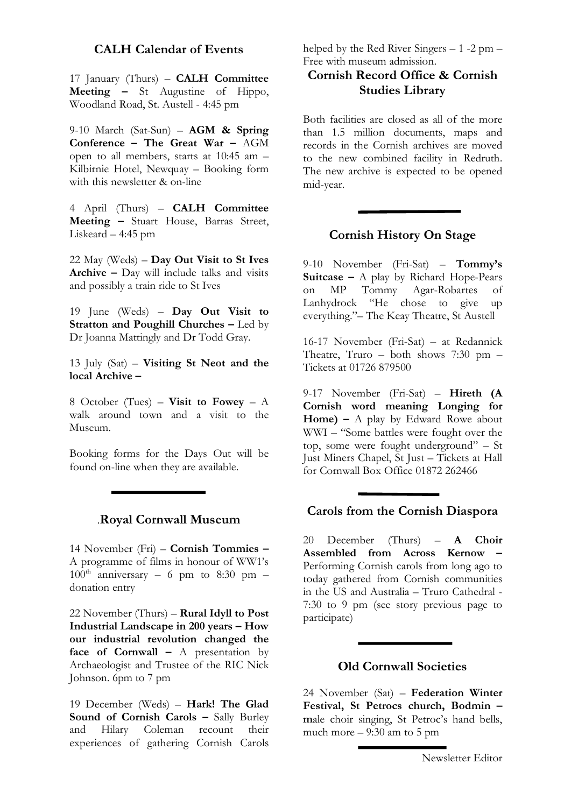#### **CALH Calendar of Events**

17 January (Thurs) – **CALH Committee Meeting –** St Augustine of Hippo, Woodland Road, St. Austell - 4:45 pm

9-10 March (Sat-Sun) – **AGM & Spring Conference – The Great War –** AGM open to all members, starts at 10:45 am – Kilbirnie Hotel, Newquay – Booking form with this newsletter & on-line

4 April (Thurs) – **CALH Committee Meeting –** Stuart House, Barras Street, Liskeard – 4:45 pm

22 May (Weds) – **Day Out Visit to St Ives Archive –** Day will include talks and visits and possibly a train ride to St Ives

19 June (Weds) – **Day Out Visit to Stratton and Poughill Churches –** Led by Dr Joanna Mattingly and Dr Todd Gray.

13 July (Sat) – **Visiting St Neot and the local Archive –**

8 October (Tues) – **Visit to Fowey** – A walk around town and a visit to the Museum.

Booking forms for the Days Out will be found on-line when they are available.

#### .**Royal Cornwall Museum**

14 November (Fri) – **Cornish Tommies –** A programme of films in honour of WW1's  $100^{\text{th}}$  anniversary – 6 pm to 8:30 pm – donation entry

22 November (Thurs) – **Rural Idyll to Post Industrial Landscape in 200 years – How our industrial revolution changed the face of Cornwall –** A presentation by Archaeologist and Trustee of the RIC Nick Johnson. 6pm to 7 pm

19 December (Weds) – **Hark! The Glad Sound of Cornish Carols –** Sally Burley and Hilary Coleman recount their and Hilary Coleman recount their experiences of gathering Cornish Carols helped by the Red River Singers – 1 -2 pm – Free with museum admission.

## **Cornish Record Office & Cornish Studies Library**

Both facilities are closed as all of the more than 1.5 million documents, maps and records in the Cornish archives are moved to the new combined facility in Redruth. The new archive is expected to be opened mid-year.

#### **Cornish History On Stage**

9-10 November (Fri-Sat) – **Tommy's Suitcase –** A play by Richard Hope-Pears on MP Tommy Agar-Robartes of Lanhydrock "He chose to give up everything."– The Keay Theatre, St Austell

16-17 November (Fri-Sat) – at Redannick Theatre, Truro – both shows  $7:30$  pm – Tickets at 01726 879500

9-17 November (Fri-Sat) – **Hireth (A Cornish word meaning Longing for Home) –** A play by Edward Rowe about WWI – "Some battles were fought over the top, some were fought underground" – St Just Miners Chapel, St Just – Tickets at Hall for Cornwall Box Office 01872 262466

#### **Carols from the Cornish Diaspora**

20 December (Thurs) – **A Choir Assembled from Across Kernow –** Performing Cornish carols from long ago to today gathered from Cornish communities in the US and Australia – Truro Cathedral - 7:30 to 9 pm (see story previous page to participate)

#### **Old Cornwall Societies**

24 November (Sat) – **Federation Winter Festival, St Petrocs church, Bodmin – m**ale choir singing, St Petroc's hand bells, much more  $-9:30$  am to 5 pm